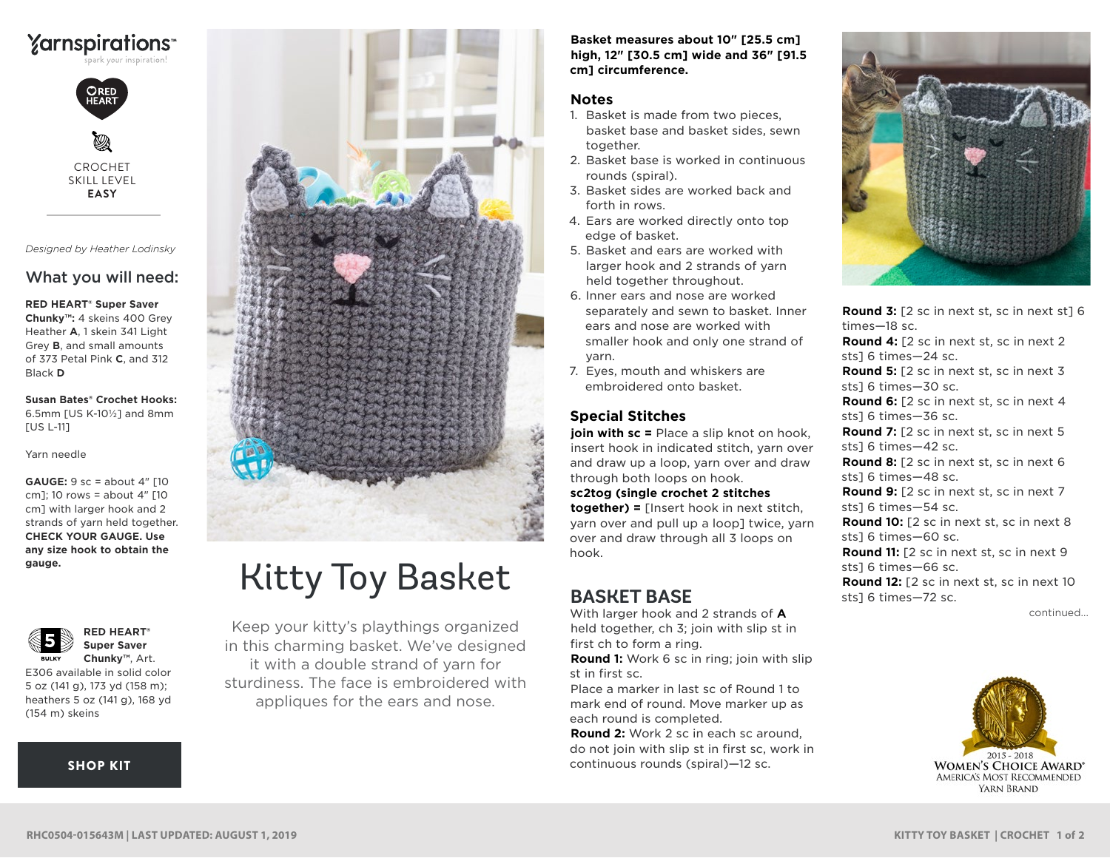



CROCHET SKILL LEVEL **EASY**

*Designed by Heather Lodinsky*

## What you will need:

#### **RED HEART® Super Saver**

**Chunky™:** 4 skeins 400 Grey Heather **A**, 1 skein 341 Light Grey **B**, and small amounts of 373 Petal Pink **C**, and 312 Black **D**

**Susan Bates® Crochet Hooks:** 6.5mm [US K-10½] and 8mm [US L-11]

Yarn needle

**GAUGE:** 9 sc = about 4" [10 cm]; 10 rows = about 4" [10 cm] with larger hook and 2 strands of yarn held together. **CHECK YOUR GAUGE. Use any size hook to obtain the gauge.**





E306 available in solid color 5 oz (141 g), 173 yd (158 m); heathers 5 oz (141 g), 168 yd (154 m) skeins

#### [SHOP KIT](https://www.yarnspirations.com/red-heart-kitty-toy-basket/RHC0504-015643M.html#utm_source=pdf-yarnspirations&utm_medium=referral&utm_campaign=pdf-RHC0504-015643M)



# Kitty Toy Basket

Keep your kitty's playthings organized in this charming basket. We've designed it with a double strand of yarn for sturdiness. The face is embroidered with appliques for the ears and nose.

**Basket measures about 10" [25.5 cm] high, 12" [30.5 cm] wide and 36" [91.5 cm] circumference.**

## **Notes**

- 1. Basket is made from two pieces, basket base and basket sides, sewn together.
- 2. Basket base is worked in continuous rounds (spiral).
- 3. Basket sides are worked back and forth in rows.
- 4. Ears are worked directly onto top edge of basket.
- 5. Basket and ears are worked with larger hook and 2 strands of yarn held together throughout.
- 6. Inner ears and nose are worked separately and sewn to basket. Inner ears and nose are worked with smaller hook and only one strand of yarn.
- 7. Eyes, mouth and whiskers are embroidered onto basket.

## **Special Stitches**

**join with sc =** Place a slip knot on hook, insert hook in indicated stitch, yarn over and draw up a loop, yarn over and draw through both loops on hook.

#### **sc2tog (single crochet 2 stitches**

**together) =** [Insert hook in next stitch, yarn over and pull up a loop] twice, yarn over and draw through all 3 loops on hook.

# **BASKET BASE**

With larger hook and 2 strands of **A** held together, ch 3; join with slip st in first ch to form a ring.

**Round 1:** Work 6 sc in ring; join with slip st in first sc.

Place a marker in last sc of Round 1 to mark end of round. Move marker up as each round is completed.

**Round 2:** Work 2 sc in each sc around, do not join with slip st in first sc, work in continuous rounds (spiral)—12 sc.



continued... **Round 3:** [2 sc in next st, sc in next st] 6 times—18 sc. **Round 4:** [2 sc in next st, sc in next 2 sts] 6 times—24 sc. **Round 5:** [2 sc in next st, sc in next 3 sts] 6 times—30 sc. **Round 6:** [2 sc in next st, sc in next 4 sts] 6 times—36 sc. **Round 7:** [2 sc in next st, sc in next 5 sts] 6 times—42 sc. **Round 8:** [2 sc in next st, sc in next 6 sts] 6 times—48 sc. **Round 9:** [2 sc in next st, sc in next 7 sts] 6 times—54 sc. **Round 10:** [2 sc in next st, sc in next 8 sts] 6 times—60 sc. **Round 11:** [2 sc in next st, sc in next 9 sts] 6 times—66 sc. **Round 12:** [2 sc in next st, sc in next 10 sts] 6 times—72 sc.

> $2015 - 2018$ **WOMEN'S CHOICE AWARD\*** AMERICA'S MOST RECOMMENDED YARN BRAND